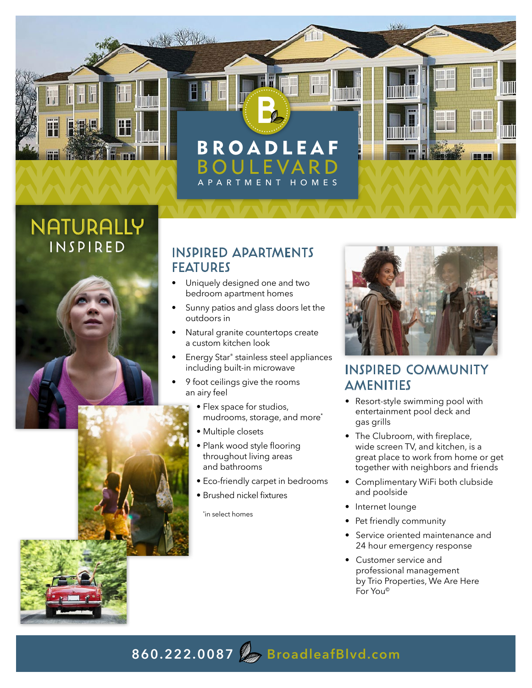

# NATURALLY



#### **INSPIRED APARTMENTS** FEATURES

- Uniquely designed one and two bedroom apartment homes
- Sunny patios and glass doors let the outdoors in
- Natural granite countertops create a custom kitchen look
- Energy Star® stainless steel appliances including built-in microwave
- 9 foot ceilings give the rooms an airy feel
	- Flex space for studios, mudrooms, storage, and more\*
	- Multiple closets
	- Plank wood style flooring throughout living areas and bathrooms
	- Eco-friendly carpet in bedrooms
	- Brushed nickel fixtures

\* in select homes



#### INSPIRED COMMUNITY AMENITIES

- Resort-style swimming pool with entertainment pool deck and gas grills
- The Clubroom, with fireplace, wide screen TV, and kitchen, is a great place to work from home or get together with neighbors and friends
- Complimentary WiFi both clubside and poolside
- Internet lounge
- Pet friendly community
- Service oriented maintenance and 24 hour emergency response
- Customer service and professional management by Trio Properties, We Are Here For You©

### **860.222.0087 BroadleafBlvd.com**